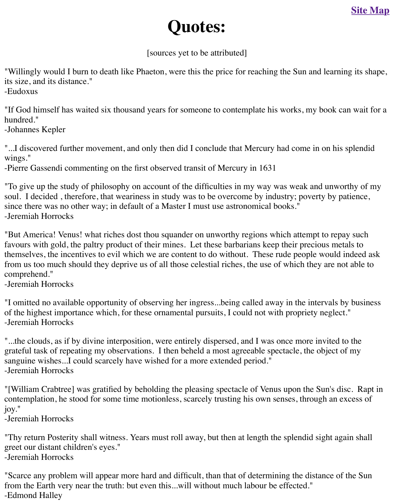"Willingly would I burn to death like Phaeton, were this the price for reaching the Sun and learnin[g its shape,](http://old.transitofvenus.org/sitemap.htm) its size, and its distance."

-Eudoxus

"If God himself has waited six thousand years for someone to contemplate his works, my book hundred."

-Johannes Kepler

"...I discovered further movement, and only then did I conclude that Mercury had come in on h wings."

-Pierre Gassendi commenting on the first observed transit of Mercury in 1631

"To give up the study of philosophy on account of the difficulties in my way was weak and un soul. I decided, therefore, that weariness in study was to be overcome by industry; poverty by since there was no other way; in default of a Master I must use astronomical books." -Jeremiah Horrocks

"But America! Venus! what riches dost thou squander on unworthy regions which attempt to repay to favours with gold, the paltry product of their mines. Let these barbarians keep their precious net themselves, the incentives to evil which we are content to do without. These rude people would from us too much should they deprive us of all those celestial riches, the use of which they are comprehend."

-Jeremiah Horrocks

"I omitted no available opportunity of observing her ingress...being called away in the interval of the highest importance which, for these ornamental pursuits, I could not with propriety neglect. -Jeremiah Horrocks

"...the clouds, as if by divine interposition, were entirely dispersed, and I was once more invite grateful task of repeating my observations. I then beheld a most agreeable spectacle, the object sanguine wishes...I could scarcely have wished for a more extended period." -Jeremiah Horrocks

"[William Crabtree] was gratified by beholding the pleasing spectacle of Venus upon the Sun's contemplation, he stood for some time motionless, scarcely trusting his own senses, through an joy."

-Jeremiah Horrocks

"Thy return Posterity shall witness. Years must roll away, but then at length the splendid sight greet our distant children's eyes." -Jeremiah Horrocks

"Scarce any problem will appear more hard and difficult, than that of determining the distance from the Earth very near the truth: but even this...will without much labour be effected." -Edmond Halley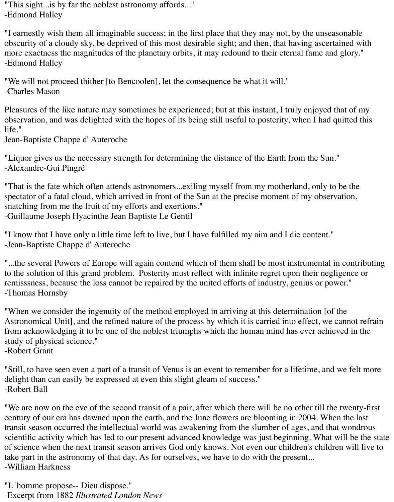"This sight...is by far the noblest astronomy affords..." -Edmond Halley

"I earnestly wish them all imaginable success; in the first place that they may not, by the unseasonable obscurity of a cloudy sky, be deprived of this most desirable sight; and then, that having ascertained with more exactness the magnitudes of the planetary orbits, it may redound to their eternal fame and glory." -Edmond Halley

"We will not proceed thither [to Bencoolen], let the consequence be what it will." -Charles Mason

Pleasures of the like nature may sometimes be experienced; but at this instant, I truly enjoyed that of my observation, and was delighted with the hopes of its being still useful to posterity, when I had quitted this life."

Jean-Baptiste Chappe d' Auteroche

"Liquor gives us the necessary strength for determining the distance of the Earth from the Sun." -Alexandre-Gui Pingré

"That is the fate which often attends astronomers...exiling myself from my motherland, only to be the spectator of a fatal cloud, which arrived in front of the Sun at the precise moment of my observation, snatching from me the fruit of my efforts and exertions." -Guillaume Joseph Hyacinthe Jean Baptiste Le Gentil

"I know that I have only a little time left to live, but I have fulfilled my aim and I die content." -Jean-Baptiste Chappe d' Auteroche

"...the several Powers of Europe will again contend which of them shall be most instrumental in contributing to the solution of this grand problem. Posterity must reflect with infinite regret upon their negligence or remisssness, because the loss cannot be repaired by the united efforts of industry, genius or power." -Thomas Hornsby

"When we consider the ingenuity of the method employed in arriving at this determination [of the Astronomical Unit], and the refined nature of the process by which it is carried into effect, we cannot refrain from acknowledging it to be one of the noblest triumphs which the human mind has ever achieved in the study of physical science."

-Robert Grant

"Still, to have seen even a part of a transit of Venus is an event to remember for a lifetime, and we felt more delight than can easily be expressed at even this slight gleam of success." -Robert Ball

"We are now on the eve of the second transit of a pair, after which there will be no other till the twenty-first century of our era has dawned upon the earth, and the June flowers are blooming in 2004. When the last transit season occurred the intellectual world was awakening from the slumber of ages, and that wondrous scientific activity which has led to our present advanced knowledge was just beginning. What will be the state of science when the next transit season arrives God only knows. Not even our children's children will live to take part in the astronomy of that day. As for ourselves, we have to do with the present... -William Harkness

"L 'homme propose-- Dieu dispose." -Excerpt from 1882 *Illustrated London News*